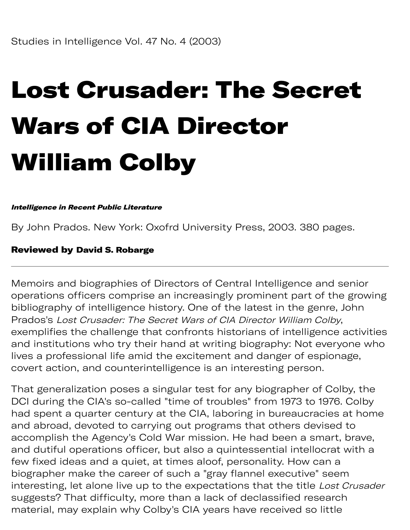# Lost Crusader: The Secret Wars of CIA Director William Colby

#### Intelligence in Recent Public Literature

By John Prados. New York: Oxofrd University Press, 2003. 380 pages.

### Reviewed by David S. Robarge

Memoirs and biographies of Directors of Central Intelligence and senior operations officers comprise an increasingly prominent part of the growing bibliography of intelligence history. One of the latest in the genre, John Prados's Lost Crusader: The Secret Wars of CIA Director William Colby, exemplifies the challenge that confronts historians of intelligence activities and institutions who try their hand at writing biography: Not everyone who lives a professional life amid the excitement and danger of espionage, covert action, and counterintelligence is an interesting person.

That generalization poses a singular test for any biographer of Colby, the DCI during the CIA's so-called "time of troubles" from 1973 to 1976. Colby had spent a quarter century at the CIA, laboring in bureaucracies at home and abroad, devoted to carrying out programs that others devised to accomplish the Agency's Cold War mission. He had been a smart, brave, and dutiful operations officer, but also a quintessential intellocrat with a few fixed ideas and a quiet, at times aloof, personality. How can a biographer make the career of such a "gray flannel executive" seem interesting, let alone live up to the expectations that the title Lost Crusader sugests? That difficulty, more than a lack of declassified research material, may explain why Colby's CIA years have received so little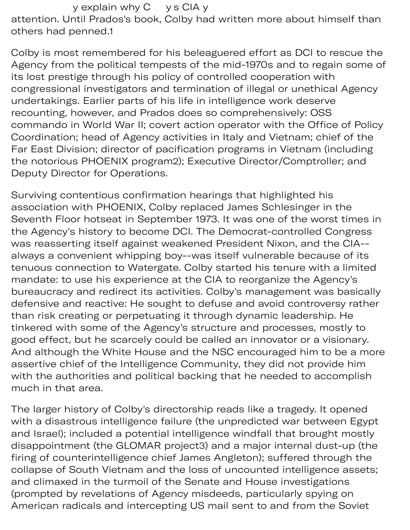y explain why C y s CIA y attention. Until Prados's book, Colby had written more about himself than others had penned.1

Colby is most remembered for his beleaguered effort as DCI to rescue the Agency from the political tempests of the mid-1970s and to regain some of its lost prestige through his policy of controlled cooperation with congressional investigators and termination of illegal or unethical Agency undertakings. Earlier parts of his life in intelligence work deserve recounting, however, and Prados does so comprehensively: OSS commando in World War II; covert action operator with the Office of Policy Coordination; head of Agency activities in Italy and Vietnam; chief of the Far East Division; director of pacification programs in Vietnam (including the notorious PHOENIX program2); Executive Director/Comptroller; and Deputy Director for Operations.

Surviving contentious confirmation hearings that highlighted his association with PHOENIX, Colby replaced James Schlesinger in the Seventh Floor hotseat in September 1973. It was one of the worst times in the Agency's history to become DCI. The Democrat-controlled Congress was reasserting itself against weakened President Nixon, and the CIA- always a convenient whipping boy--was itself vulnerable because of its tenuous connection to Watergate. Colby started his tenure with a limited mandate: to use his experience at the CIA to reorganize the Agency's bureaucracy and redirect its activities. Colby's management was basically defensive and reactive: He sought to defuse and avoid controversy rather than risk creating or perpetuating it through dynamic leadership. He tinkered with some of the Agency's structure and processes, mostly to good effect, but he scarcely could be called an innovator or a visionary. And although the White House and the NSC encouraged him to be a more assertive chief of the Intelligence Community, they did not provide him with the authorities and political backing that he needed to accomplish much in that area.

The larger history of Colby's directorship reads like a tragedy. It opened with a disastrous intelligence failure (the unpredicted war between Egypt and Israel); included a potential intelligence windfall that brought mostly disappointment (the GLOMAR project3) and a major internal dust-up (the firing of counterintelligence chief James Angleton); suffered through the collapse of South Vietnam and the loss of uncounted intelligence assets; and climaxed in the turmoil of the Senate and House investigations (prompted by revelations of Agency misdeeds, particularly spying on American radicals and intercepting US mail sent to and from the Soviet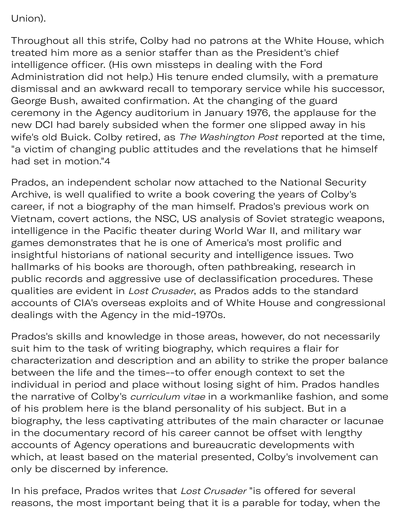## Union).

Throughout all this strife, Colby had no patrons at the White House, which treated him more as a senior staffer than as the President's chief intelligence officer. (His own missteps in dealing with the Ford Administration did not help.) His tenure ended clumsily, with a premature dismissal and an awkward recall to temporary service while his successor, George Bush, awaited confirmation. At the changing of the guard ceremony in the Agency auditorium in January 1976, the applause for the new DCI had barely subsided when the former one slipped away in his wife's old Buick. Colby retired, as The Washington Post reported at the time, "a victim of changing public attitudes and the revelations that he himself had set in motion."4

Prados, an independent scholar now attached to the National Security Archive, is well qualified to write a book covering the years of Colby's career, if not a biography of the man himself. Prados's previous work on Vietnam, covert actions, the NSC, US analysis of Soviet strategic weapons, intelligence in the Pacific theater during World War II, and military war games demonstrates that he is one of America's most prolific and insightful historians of national security and intelligence issues. Two hallmarks of his books are thorough, often pathbreaking, research in public records and aggressive use of declassification procedures. These qualities are evident in Lost Crusader, as Prados adds to the standard accounts of CIA's overseas exploits and of White House and congressional dealings with the Agency in the mid-1970s.

Prados's skills and knowledge in those areas, however, do not necessarily suit him to the task of writing biography, which requires a flair for characterization and description and an ability to strike the proper balance between the life and the times--to offer enough context to set the individual in period and place without losing sight of him. Prados handles the narrative of Colby's curriculum vitae in a workmanlike fashion, and some of his problem here is the bland personality of his subject. But in a biography, the less captivating attributes of the main character or lacunae in the documentary record of his career cannot be offset with lengthy accounts of Agency operations and bureaucratic developments with which, at least based on the material presented, Colby's involvement can only be discerned by inference.

In his preface, Prados writes that Lost Crusader "is offered for several reasons, the most important being that it is a parable for today, when the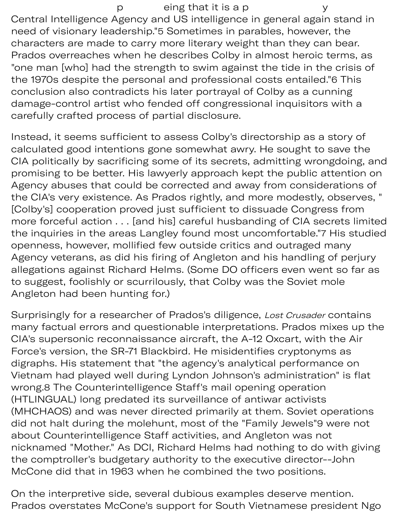p eing that it is a p y Central Intelligence Agency and US intelligence in general again stand in need of visionary leadership."5 Sometimes in parables, however, the characters are made to carry more literary weight than they can bear. Prados overreaches when he describes Colby in almost heroic terms, as "one man [who] had the strength to swim against the tide in the crisis of the 1970s despite the personal and professional costs entailed."6 This conclusion also contradicts his later portrayal of Colby as a cunning damage-control artist who fended off congressional inquisitors with a carefully crafted process of partial disclosure.

Instead, it seems sufficient to assess Colby's directorship as a story of calculated good intentions gone somewhat awry. He sought to save the CIA politically by sacrificing some of its secrets, admitting wrongdoing, and promising to be better. His lawyerly approach kept the public attention on Agency abuses that could be corrected and away from considerations of the CIA's very existence. As Prados rightly, and more modestly, observes, " [Colby's] cooperation proved just sufficient to dissuade Congress from more forceful action . . . [and his] careful husbanding of CIA secrets limited the inquiries in the areas Langley found most uncomfortable."7 His studied openness, however, mollified few outside critics and outraged many Agency veterans, as did his firing of Angleton and his handling of perjury allegations against Richard Helms. (Some DO officers even went so far as to suggest, foolishly or scurrilously, that Colby was the Soviet mole Angleton had been hunting for.)

Surprisingly for a researcher of Prados's diligence, Lost Crusader contains many factual errors and questionable interpretations. Prados mixes up the CIA's supersonic reconnaissance aircraft, the A-12 Oxcart, with the Air Force's version, the SR-71 Blackbird. He misidentifies cryptonyms as digraphs. His statement that "the agency's analytical performance on Vietnam had played well during Lyndon Johnson's administration" is flat wrong.8 The Counterintelligence Staff's mail opening operation (HTLINGUAL) long predated its surveillance of antiwar activists (MHCHAOS) and was never directed primarily at them. Soviet operations did not halt during the molehunt, most of the "Family Jewels"9 were not about Counterintelligence Staff activities, and Angleton was not nicknamed "Mother." As DCI, Richard Helms had nothing to do with giving the comptroller's budgetary authority to the executive director--John McCone did that in 1963 when he combined the two positions.

On the interpretive side, several dubious examples deserve mention. Prados overstates McCone's support for South Vietnamese president Ngo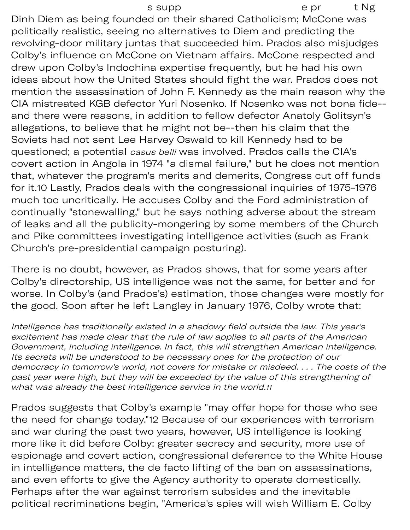Dinh Diem as being founded on their shared Catholicism; McCone was politically realistic, seeing no alternatives to Diem and predicting the revolving-door military juntas that succeeded him. Prados also misjudges Colby's influence on McCone on Vietnam affairs. McCone respected and drew upon Colby's Indochina expertise frequently, but he had his own ideas about how the United States should fight the war. Prados does not mention the assassination of John F. Kennedy as the main reason why the CIA mistreated KGB defector Yuri Nosenko. If Nosenko was not bona fide- and there were reasons, in addition to fellow defector Anatoly Golitsyn's allegations, to believe that he might not be--then his claim that the Soviets had not sent Lee Harvey Oswald to kill Kennedy had to be questioned; a potential *casus belli* was involved. Prados calls the CIA's covert action in Angola in 1974 "a dismal failure," but he does not mention that, whatever the program's merits and demerits, Congress cut off funds for it.10 Lastly, Prados deals with the congressional inquiries of 1975-1976 much too uncritically. He accuses Colby and the Ford administration of continually "stonewalling," but he says nothing adverse about the stream of leaks and all the publicity-mongering by some members of the Church and Pike committees investigating intelligence activities (such as Frank Church's pre-presidential campaign posturing).

There is no doubt, however, as Prados shows, that for some years after Colby's directorship, US intelligence was not the same, for better and for worse. In Colby's (and Prados's) estimation, those changes were mostly for the good. Soon after he left Langley in January 1976, Colby wrote that:

Intelligence has traditionally existed in a shadowy field outside the law. This year's excitement has made clear that the rule of law applies to all parts of the American Government, including intelligence. In fact, this will strengthen American intelligence. Its secrets will be understood to be necessary ones for the protection of our democracy in tomorrow's world, not covers for mistake or misdeed. . . . The costs of the past year were high, but they will be exceeded by the value of this strengthening of what was already the best intelligence service in the [world.](https://world.11)11

Prados suggests that Colby's example "may offer hope for those who see the need for change today."12 Because of our experiences with terrorism and war during the past two years, however, US intelligence is looking more like it did before Colby: greater secrecy and security, more use of espionage and covert action, congressional deference to the White House in intelligence matters, the de facto lifting of the ban on assassinations, and even efforts to give the Agency authority to operate domestically. Perhaps after the war against terrorism subsides and the inevitable political recriminations begin, "America's spies will wish William E. Colby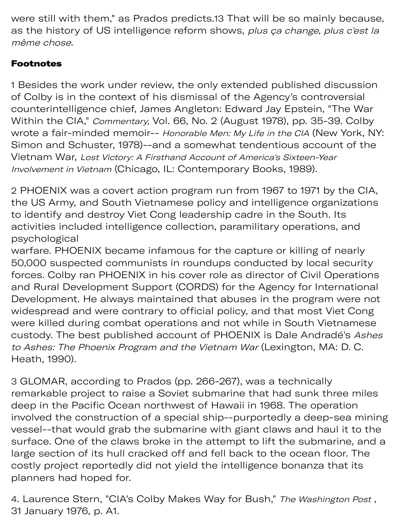were still with them," as Prados predicts.13 That will be so mainly because, as the history of US intelligence reform shows, plus ça change, plus c'est la même chose.

## Footnotes

1 Besides the work under review, the only extended published discussion of Colby is in the context of his dismissal of the Agency's controversial counterintelligence chief, James Angleton: Edward Jay Epstein, "The War Within the CIA," Commentary, Vol. 66, No. 2 (August 1978), pp. 35-39. Colby wrote a fair-minded memoir-- Honorable Men: My Life in the CIA (New York, NY: Simon and Schuster, 1978)--and a somewhat tendentious account of the Vietnam War, Lost Victory: A Firsthand Account of America's Sixteen-Year Involvement in Vietnam (Chicago, IL: Contemporary Books, 1989).

2 PHOENIX was a covert action program run from 1967 to 1971 by the CIA, the US Army, and South Vietnamese policy and intelligence organizations to identify and destroy Viet Cong leadership cadre in the South. Its activities included intelligence collection, paramilitary operations, and psychological

warfare. PHOENIX became infamous for the capture or killing of nearly 50,000 suspected communists in roundups conducted by local security forces. Colby ran PHOENIX in his cover role as director of Civil Operations and Rural Development Support (CORDS) for the Agency for International Development. He always maintained that abuses in the program were not widespread and were contrary to official policy, and that most Viet Cong were killed during combat operations and not while in South Vietnamese custody. The best published account of PHOENIX is Dale Andradé's Ashes to Ashes: The Phoenix Program and the Vietnam War (Lexington, MA: D. C. Heath, 1990).

3 GLOMAR, according to Prados (pp. 266-267), was a technically remarkable project to raise a Soviet submarine that had sunk three miles deep in the Pacific Ocean northwest of Hawaii in 1968. The operation involved the construction of a special ship--purportedly a deep-sea mining vessel--that would grab the submarine with giant claws and haul it to the surface. One of the claws broke in the attempt to lift the submarine, and a large section of its hull cracked off and fell back to the ocean floor. The costly project reportedly did not yield the intelligence bonanza that its planners had hoped for.

4. Laurence Stern, "CIA's Colby Makes Way for Bush," The Washington Post, 31 January 1976, p. A1.